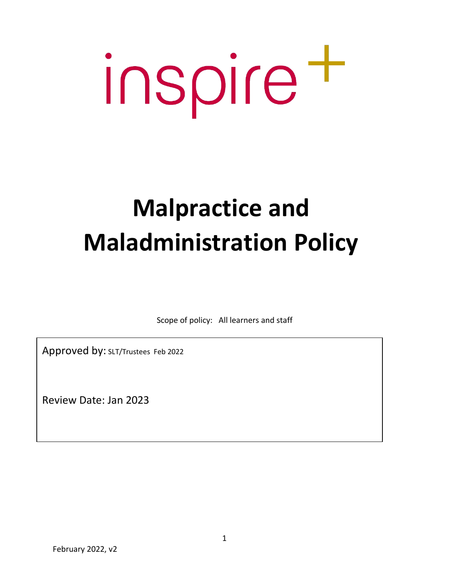# inspire t

# **Malpractice and Maladministration Policy**

Scope of policy: All learners and staff

Approved by: SLT/Trustees Feb 2022

Review Date: Jan 2023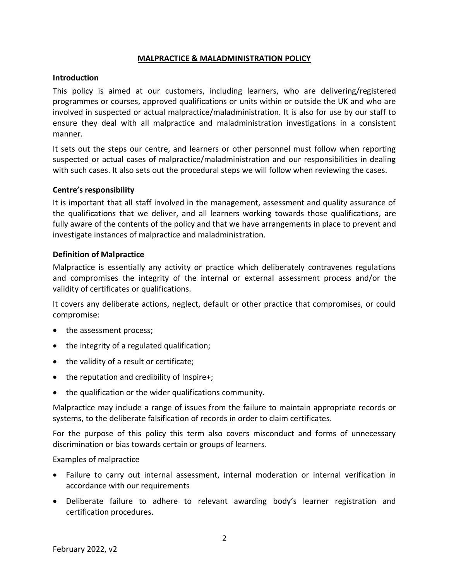## **MALPRACTICE & MALADMINISTRATION POLICY**

#### **Introduction**

This policy is aimed at our customers, including learners, who are delivering/registered programmes or courses, approved qualifications or units within or outside the UK and who are involved in suspected or actual malpractice/maladministration. It is also for use by our staff to ensure they deal with all malpractice and maladministration investigations in a consistent manner.

It sets out the steps our centre, and learners or other personnel must follow when reporting suspected or actual cases of malpractice/maladministration and our responsibilities in dealing with such cases. It also sets out the procedural steps we will follow when reviewing the cases.

#### **Centre's responsibility**

It is important that all staff involved in the management, assessment and quality assurance of the qualifications that we deliver, and all learners working towards those qualifications, are fully aware of the contents of the policy and that we have arrangements in place to prevent and investigate instances of malpractice and maladministration.

#### **Definition of Malpractice**

Malpractice is essentially any activity or practice which deliberately contravenes regulations and compromises the integrity of the internal or external assessment process and/or the validity of certificates or qualifications.

It covers any deliberate actions, neglect, default or other practice that compromises, or could compromise:

- the assessment process;
- the integrity of a regulated qualification;
- the validity of a result or certificate;
- the reputation and credibility of Inspire+;
- the qualification or the wider qualifications community.

Malpractice may include a range of issues from the failure to maintain appropriate records or systems, to the deliberate falsification of records in order to claim certificates.

For the purpose of this policy this term also covers misconduct and forms of unnecessary discrimination or bias towards certain or groups of learners.

#### Examples of malpractice

- Failure to carry out internal assessment, internal moderation or internal verification in accordance with our requirements
- Deliberate failure to adhere to relevant awarding body's learner registration and certification procedures.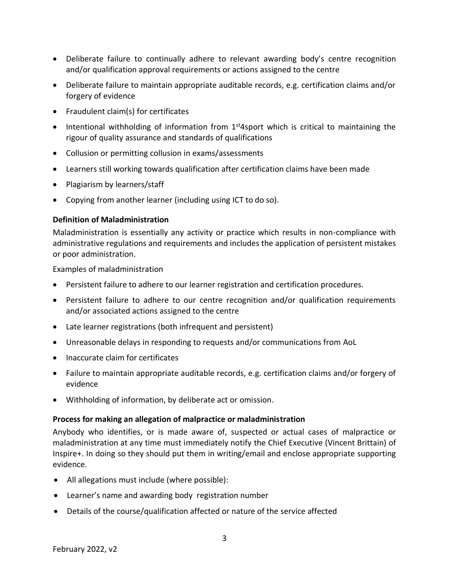- Deliberate failure to continually adhere to relevant awarding body's centre recognition and/or qualification approval requirements or actions assigned to the centre
- Deliberate failure to maintain appropriate auditable records, e.g. certification claims and/or forgery of evidence
- Fraudulent claim(s) for certificates
- Intentional withholding of information from  $1<sup>st</sup>4$ sport which is critical to maintaining the rigour of quality assurance and standards of qualifications
- Collusion or permitting collusion in exams/assessments
- Learners still working towards qualification after certification claims have been made
- Plagiarism by learners/staff
- Copying from another learner (including using ICT to do so).

# **Definition of Maladministration**

Maladministration is essentially any activity or practice which results in non-compliance with administrative regulations and requirements and includes the application of persistent mistakes or poor administration.

Examples of maladministration

- Persistent failure to adhere to our learner registration and certification procedures.
- Persistent failure to adhere to our centre recognition and/or qualification requirements and/or associated actions assigned to the centre
- Late learner registrations (both infrequent and persistent)
- Unreasonable delays in responding to requests and/or communications from AoL
- Inaccurate claim for certificates
- Failure to maintain appropriate auditable records, e.g. certification claims and/or forgery of evidence
- Withholding of information, by deliberate act or omission.

## **Process for making an allegation of malpractice or maladministration**

Anybody who identifies, or is made aware of, suspected or actual cases of malpractice or maladministration at any time must immediately notify the Chief Executive (Vincent Brittain) of Inspire+. In doing so they should put them in writing/email and enclose appropriate supporting evidence.

- All allegations must include (where possible):
- Learner's name and awarding body registration number
- Details of the course/qualification affected or nature of the service affected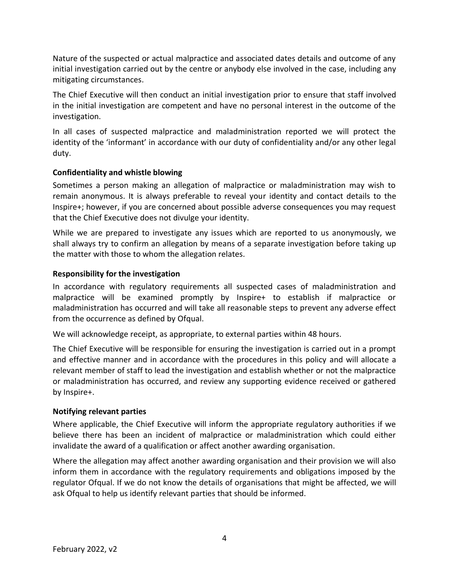Nature of the suspected or actual malpractice and associated dates details and outcome of any initial investigation carried out by the centre or anybody else involved in the case, including any mitigating circumstances.

The Chief Executive will then conduct an initial investigation prior to ensure that staff involved in the initial investigation are competent and have no personal interest in the outcome of the investigation.

In all cases of suspected malpractice and maladministration reported we will protect the identity of the 'informant' in accordance with our duty of confidentiality and/or any other legal duty.

# **Confidentiality and whistle blowing**

Sometimes a person making an allegation of malpractice or maladministration may wish to remain anonymous. It is always preferable to reveal your identity and contact details to the Inspire+; however, if you are concerned about possible adverse consequences you may request that the Chief Executive does not divulge your identity.

While we are prepared to investigate any issues which are reported to us anonymously, we shall always try to confirm an allegation by means of a separate investigation before taking up the matter with those to whom the allegation relates.

# **Responsibility for the investigation**

In accordance with regulatory requirements all suspected cases of maladministration and malpractice will be examined promptly by Inspire+ to establish if malpractice or maladministration has occurred and will take all reasonable steps to prevent any adverse effect from the occurrence as defined by Ofqual.

We will acknowledge receipt, as appropriate, to external parties within 48 hours.

The Chief Executive will be responsible for ensuring the investigation is carried out in a prompt and effective manner and in accordance with the procedures in this policy and will allocate a relevant member of staff to lead the investigation and establish whether or not the malpractice or maladministration has occurred, and review any supporting evidence received or gathered by Inspire+.

## **Notifying relevant parties**

Where applicable, the Chief Executive will inform the appropriate regulatory authorities if we believe there has been an incident of malpractice or maladministration which could either invalidate the award of a qualification or affect another awarding organisation.

Where the allegation may affect another awarding organisation and their provision we will also inform them in accordance with the regulatory requirements and obligations imposed by the regulator Ofqual. If we do not know the details of organisations that might be affected, we will ask Ofqual to help us identify relevant parties that should be informed.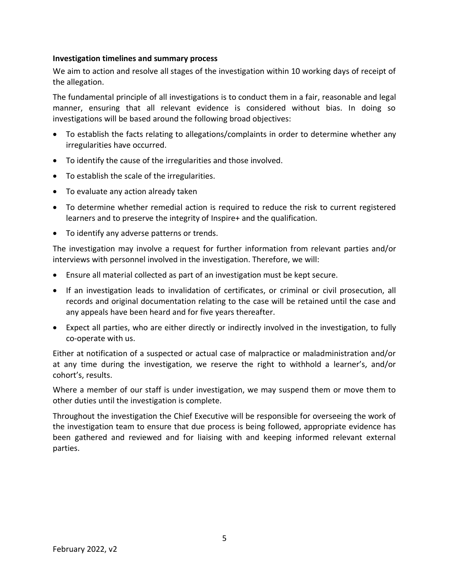#### **Investigation timelines and summary process**

We aim to action and resolve all stages of the investigation within 10 working days of receipt of the allegation.

The fundamental principle of all investigations is to conduct them in a fair, reasonable and legal manner, ensuring that all relevant evidence is considered without bias. In doing so investigations will be based around the following broad objectives:

- To establish the facts relating to allegations/complaints in order to determine whether any irregularities have occurred.
- To identify the cause of the irregularities and those involved.
- To establish the scale of the irregularities.
- To evaluate any action already taken
- To determine whether remedial action is required to reduce the risk to current registered learners and to preserve the integrity of Inspire+ and the qualification.
- To identify any adverse patterns or trends.

The investigation may involve a request for further information from relevant parties and/or interviews with personnel involved in the investigation. Therefore, we will:

- Ensure all material collected as part of an investigation must be kept secure.
- If an investigation leads to invalidation of certificates, or criminal or civil prosecution, all records and original documentation relating to the case will be retained until the case and any appeals have been heard and for five years thereafter.
- Expect all parties, who are either directly or indirectly involved in the investigation, to fully co-operate with us.

Either at notification of a suspected or actual case of malpractice or maladministration and/or at any time during the investigation, we reserve the right to withhold a learner's, and/or cohort's, results.

Where a member of our staff is under investigation, we may suspend them or move them to other duties until the investigation is complete.

Throughout the investigation the Chief Executive will be responsible for overseeing the work of the investigation team to ensure that due process is being followed, appropriate evidence has been gathered and reviewed and for liaising with and keeping informed relevant external parties.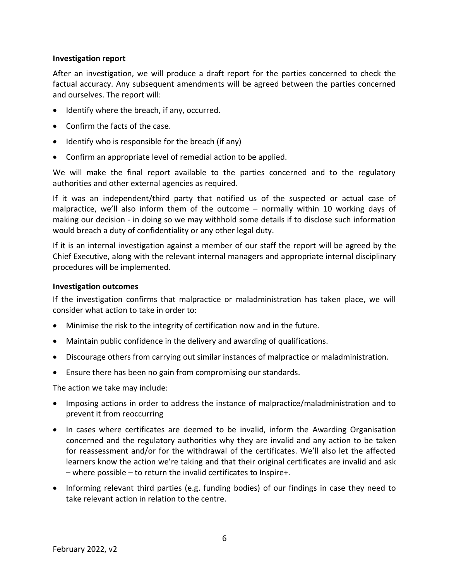#### **Investigation report**

After an investigation, we will produce a draft report for the parties concerned to check the factual accuracy. Any subsequent amendments will be agreed between the parties concerned and ourselves. The report will:

- Identify where the breach, if any, occurred.
- Confirm the facts of the case.
- Identify who is responsible for the breach (if any)
- Confirm an appropriate level of remedial action to be applied.

We will make the final report available to the parties concerned and to the regulatory authorities and other external agencies as required.

If it was an independent/third party that notified us of the suspected or actual case of malpractice, we'll also inform them of the outcome – normally within 10 working days of making our decision - in doing so we may withhold some details if to disclose such information would breach a duty of confidentiality or any other legal duty.

If it is an internal investigation against a member of our staff the report will be agreed by the Chief Executive, along with the relevant internal managers and appropriate internal disciplinary procedures will be implemented.

#### **Investigation outcomes**

If the investigation confirms that malpractice or maladministration has taken place, we will consider what action to take in order to:

- Minimise the risk to the integrity of certification now and in the future.
- Maintain public confidence in the delivery and awarding of qualifications.
- Discourage others from carrying out similar instances of malpractice or maladministration.
- Ensure there has been no gain from compromising our standards.

The action we take may include:

- Imposing actions in order to address the instance of malpractice/maladministration and to prevent it from reoccurring
- In cases where certificates are deemed to be invalid, inform the Awarding Organisation concerned and the regulatory authorities why they are invalid and any action to be taken for reassessment and/or for the withdrawal of the certificates. We'll also let the affected learners know the action we're taking and that their original certificates are invalid and ask – where possible – to return the invalid certificates to Inspire+.
- Informing relevant third parties (e.g. funding bodies) of our findings in case they need to take relevant action in relation to the centre.